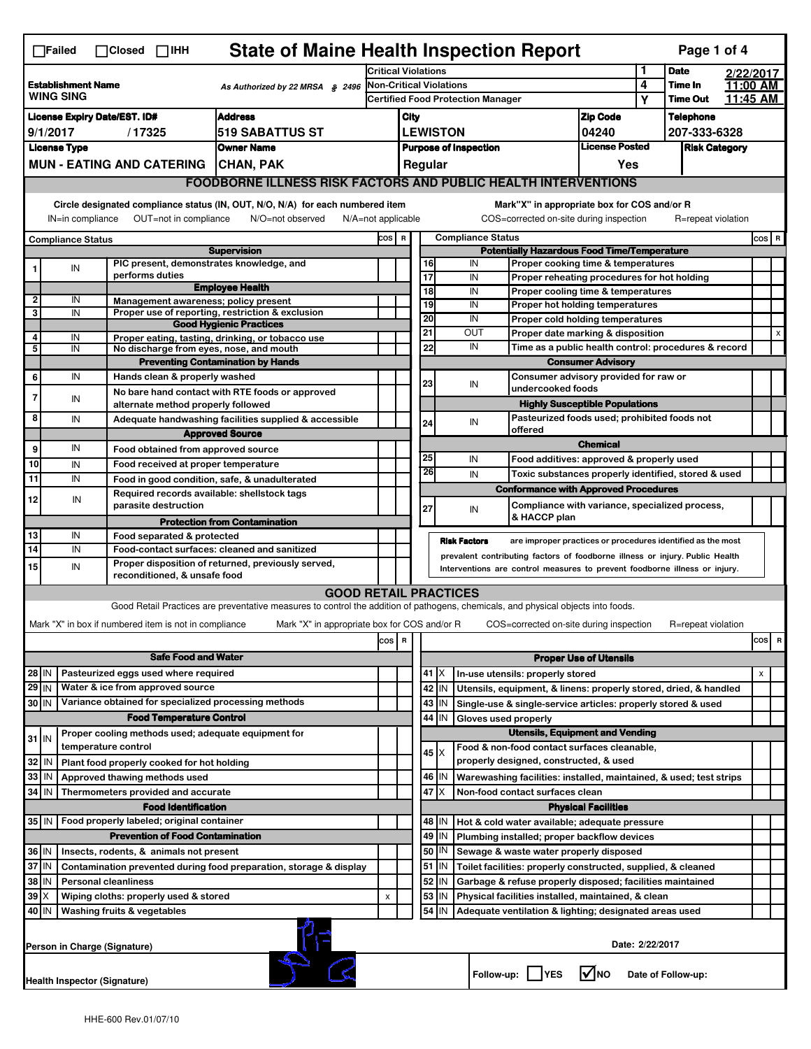| <b>State of Maine Health Inspection Report</b><br>Page 1 of 4<br>$\Box$ Failed<br>$\Box$ Closed $\Box$ IHH                                                                                                                                                                                |                                                                                                                         |                                                                                                                                                                  |                                                       |                                                                                                                                   |                                |                                                          |                                                                                                                       |                                          |                                                                    |                                        |                                                                                  |                 |                  |                      |          |                                 |
|-------------------------------------------------------------------------------------------------------------------------------------------------------------------------------------------------------------------------------------------------------------------------------------------|-------------------------------------------------------------------------------------------------------------------------|------------------------------------------------------------------------------------------------------------------------------------------------------------------|-------------------------------------------------------|-----------------------------------------------------------------------------------------------------------------------------------|--------------------------------|----------------------------------------------------------|-----------------------------------------------------------------------------------------------------------------------|------------------------------------------|--------------------------------------------------------------------|----------------------------------------|----------------------------------------------------------------------------------|-----------------|------------------|----------------------|----------|---------------------------------|
| <b>Establishment Name</b><br>As Authorized by 22 MRSA § 2496<br><b>WING SING</b>                                                                                                                                                                                                          |                                                                                                                         |                                                                                                                                                                  | <b>Critical Violations</b>                            |                                                                                                                                   |                                |                                                          |                                                                                                                       |                                          |                                                                    |                                        | <b>Date</b>                                                                      |                 | 2/22/2017        |                      |          |                                 |
|                                                                                                                                                                                                                                                                                           |                                                                                                                         |                                                                                                                                                                  |                                                       |                                                                                                                                   | <b>Non-Critical Violations</b> |                                                          |                                                                                                                       |                                          |                                                                    |                                        | 4                                                                                | Time In         |                  | 11:00 AM             |          |                                 |
|                                                                                                                                                                                                                                                                                           |                                                                                                                         |                                                                                                                                                                  |                                                       |                                                                                                                                   |                                |                                                          |                                                                                                                       | <b>Certified Food Protection Manager</b> |                                                                    |                                        |                                                                                  | Υ               | <b>Time Out</b>  |                      | 11:45 AM |                                 |
| <b>License Expiry Date/EST. ID#</b><br><b>Address</b>                                                                                                                                                                                                                                     |                                                                                                                         |                                                                                                                                                                  |                                                       |                                                                                                                                   | City                           |                                                          |                                                                                                                       |                                          |                                                                    |                                        | <b>Zip Code</b>                                                                  |                 | <b>Telephone</b> |                      |          |                                 |
| 9/1/2017<br>/17325<br><b>519 SABATTUS ST</b>                                                                                                                                                                                                                                              |                                                                                                                         |                                                                                                                                                                  |                                                       |                                                                                                                                   |                                | <b>LEWISTON</b><br>04240<br><b>Purpose of Inspection</b> |                                                                                                                       |                                          |                                                                    |                                        | <b>License Posted</b>                                                            |                 | 207-333-6328     |                      |          |                                 |
| <b>License Type</b><br><b>Owner Name</b>                                                                                                                                                                                                                                                  |                                                                                                                         |                                                                                                                                                                  |                                                       |                                                                                                                                   |                                |                                                          |                                                                                                                       |                                          |                                                                    |                                        |                                                                                  |                 |                  | <b>Risk Category</b> |          |                                 |
|                                                                                                                                                                                                                                                                                           | <b>MUN - EATING AND CATERING</b><br><b>CHAN, PAK</b>                                                                    |                                                                                                                                                                  |                                                       |                                                                                                                                   |                                |                                                          |                                                                                                                       | Regular                                  |                                                                    |                                        |                                                                                  | Yes             |                  |                      |          |                                 |
|                                                                                                                                                                                                                                                                                           |                                                                                                                         |                                                                                                                                                                  |                                                       | <b>FOODBORNE ILLNESS RISK FACTORS AND PUBLIC HEALTH INTERVENTIONS</b>                                                             |                                |                                                          |                                                                                                                       |                                          |                                                                    |                                        |                                                                                  |                 |                  |                      |          |                                 |
| Circle designated compliance status (IN, OUT, N/O, N/A) for each numbered item<br>Mark"X" in appropriate box for COS and/or R<br>OUT=not in compliance<br>COS=corrected on-site during inspection<br>IN=in compliance<br>N/O=not observed<br>$N/A = not$ applicable<br>R=repeat violation |                                                                                                                         |                                                                                                                                                                  |                                                       |                                                                                                                                   |                                |                                                          |                                                                                                                       |                                          |                                                                    |                                        |                                                                                  |                 |                  |                      |          |                                 |
|                                                                                                                                                                                                                                                                                           |                                                                                                                         |                                                                                                                                                                  |                                                       |                                                                                                                                   |                                |                                                          |                                                                                                                       |                                          |                                                                    |                                        |                                                                                  |                 |                  |                      |          | $cos$ R                         |
|                                                                                                                                                                                                                                                                                           | <b>Compliance Status</b>                                                                                                |                                                                                                                                                                  |                                                       | <b>Supervision</b>                                                                                                                | cos                            |                                                          | <b>Compliance Status</b><br>$\overline{\mathbf{R}}$<br><b>Potentially Hazardous Food Time/Temperature</b>             |                                          |                                                                    |                                        |                                                                                  |                 |                  |                      |          |                                 |
|                                                                                                                                                                                                                                                                                           | IN                                                                                                                      |                                                                                                                                                                  | PIC present, demonstrates knowledge, and              |                                                                                                                                   |                                |                                                          |                                                                                                                       | 16                                       |                                                                    | IN                                     | Proper cooking time & temperatures                                               |                 |                  |                      |          |                                 |
|                                                                                                                                                                                                                                                                                           |                                                                                                                         |                                                                                                                                                                  | performs duties                                       |                                                                                                                                   |                                |                                                          |                                                                                                                       | 17                                       |                                                                    | IN                                     | Proper reheating procedures for hot holding                                      |                 |                  |                      |          |                                 |
| $\overline{\mathbf{2}}$                                                                                                                                                                                                                                                                   | IN                                                                                                                      |                                                                                                                                                                  | Management awareness; policy present                  | <b>Employee Health</b>                                                                                                            |                                |                                                          |                                                                                                                       | 18                                       |                                                                    | IN                                     | Proper cooling time & temperatures                                               |                 |                  |                      |          |                                 |
| 3                                                                                                                                                                                                                                                                                         | IN                                                                                                                      |                                                                                                                                                                  |                                                       | Proper use of reporting, restriction & exclusion                                                                                  |                                |                                                          |                                                                                                                       | 19                                       |                                                                    | IN                                     | Proper hot holding temperatures                                                  |                 |                  |                      |          |                                 |
|                                                                                                                                                                                                                                                                                           |                                                                                                                         |                                                                                                                                                                  |                                                       | <b>Good Hygienic Practices</b>                                                                                                    |                                |                                                          |                                                                                                                       | 20<br>21                                 |                                                                    | IN<br><b>OUT</b>                       | Proper cold holding temperatures<br>Proper date marking & disposition            |                 |                  |                      |          |                                 |
| 4<br>5                                                                                                                                                                                                                                                                                    | IN<br>IN                                                                                                                |                                                                                                                                                                  | No discharge from eyes, nose, and mouth               | Proper eating, tasting, drinking, or tobacco use                                                                                  |                                |                                                          |                                                                                                                       | 22                                       |                                                                    | IN                                     |                                                                                  |                 |                  |                      |          |                                 |
|                                                                                                                                                                                                                                                                                           |                                                                                                                         |                                                                                                                                                                  |                                                       | <b>Preventing Contamination by Hands</b>                                                                                          |                                |                                                          |                                                                                                                       |                                          |                                                                    |                                        | Time as a public health control: procedures & record<br><b>Consumer Advisory</b> |                 |                  |                      |          |                                 |
| 6                                                                                                                                                                                                                                                                                         | IN                                                                                                                      |                                                                                                                                                                  | Hands clean & properly washed                         |                                                                                                                                   |                                |                                                          |                                                                                                                       |                                          |                                                                    |                                        | Consumer advisory provided for raw or                                            |                 |                  |                      |          |                                 |
| 7                                                                                                                                                                                                                                                                                         |                                                                                                                         |                                                                                                                                                                  |                                                       | No bare hand contact with RTE foods or approved                                                                                   |                                |                                                          |                                                                                                                       | 23                                       |                                                                    | IN                                     | undercooked foods                                                                |                 |                  |                      |          |                                 |
|                                                                                                                                                                                                                                                                                           | IN                                                                                                                      |                                                                                                                                                                  | alternate method properly followed                    |                                                                                                                                   |                                |                                                          |                                                                                                                       |                                          |                                                                    |                                        | <b>Highly Susceptible Populations</b>                                            |                 |                  |                      |          |                                 |
| 8                                                                                                                                                                                                                                                                                         | IN                                                                                                                      |                                                                                                                                                                  |                                                       | Adequate handwashing facilities supplied & accessible                                                                             |                                |                                                          |                                                                                                                       | 24                                       |                                                                    | IN                                     | Pasteurized foods used; prohibited foods not<br>offered                          |                 |                  |                      |          |                                 |
|                                                                                                                                                                                                                                                                                           |                                                                                                                         |                                                                                                                                                                  |                                                       | <b>Approved Source</b>                                                                                                            |                                |                                                          |                                                                                                                       |                                          |                                                                    |                                        |                                                                                  | <b>Chemical</b> |                  |                      |          |                                 |
| 9                                                                                                                                                                                                                                                                                         | IN                                                                                                                      |                                                                                                                                                                  | Food obtained from approved source                    |                                                                                                                                   |                                |                                                          |                                                                                                                       | 25                                       |                                                                    | IN                                     | Food additives: approved & properly used                                         |                 |                  |                      |          |                                 |
| 10                                                                                                                                                                                                                                                                                        | IN                                                                                                                      |                                                                                                                                                                  | Food received at proper temperature                   |                                                                                                                                   |                                |                                                          |                                                                                                                       | 26                                       |                                                                    | IN                                     | Toxic substances properly identified, stored & used                              |                 |                  |                      |          |                                 |
| 11                                                                                                                                                                                                                                                                                        | IN                                                                                                                      |                                                                                                                                                                  | Required records available: shellstock tags           | Food in good condition, safe, & unadulterated                                                                                     |                                |                                                          |                                                                                                                       |                                          |                                                                    |                                        | <b>Conformance with Approved Procedures</b>                                      |                 |                  |                      |          |                                 |
| 12                                                                                                                                                                                                                                                                                        | IN                                                                                                                      |                                                                                                                                                                  | parasite destruction                                  |                                                                                                                                   |                                |                                                          |                                                                                                                       | 27                                       |                                                                    | IN                                     | Compliance with variance, specialized process,                                   |                 |                  |                      |          |                                 |
|                                                                                                                                                                                                                                                                                           |                                                                                                                         |                                                                                                                                                                  |                                                       | <b>Protection from Contamination</b>                                                                                              |                                |                                                          |                                                                                                                       |                                          |                                                                    |                                        | & HACCP plan                                                                     |                 |                  |                      |          |                                 |
| 13                                                                                                                                                                                                                                                                                        | IN                                                                                                                      |                                                                                                                                                                  | Food separated & protected                            |                                                                                                                                   |                                |                                                          |                                                                                                                       |                                          | <b>Risk Factors</b>                                                |                                        | are improper practices or procedures identified as the most                      |                 |                  |                      |          |                                 |
| 14                                                                                                                                                                                                                                                                                        | IN                                                                                                                      |                                                                                                                                                                  |                                                       | Food-contact surfaces: cleaned and sanitized                                                                                      |                                |                                                          | prevalent contributing factors of foodborne illness or injury. Public Health                                          |                                          |                                                                    |                                        |                                                                                  |                 |                  |                      |          |                                 |
| 15                                                                                                                                                                                                                                                                                        | IN                                                                                                                      | Proper disposition of returned, previously served,<br>Interventions are control measures to prevent foodborne illness or injury.<br>reconditioned, & unsafe food |                                                       |                                                                                                                                   |                                |                                                          |                                                                                                                       |                                          |                                                                    |                                        |                                                                                  |                 |                  |                      |          |                                 |
|                                                                                                                                                                                                                                                                                           |                                                                                                                         |                                                                                                                                                                  |                                                       | <b>GOOD RETAIL PRACTICES</b>                                                                                                      |                                |                                                          |                                                                                                                       |                                          |                                                                    |                                        |                                                                                  |                 |                  |                      |          |                                 |
|                                                                                                                                                                                                                                                                                           |                                                                                                                         |                                                                                                                                                                  |                                                       | Good Retail Practices are preventative measures to control the addition of pathogens, chemicals, and physical objects into foods. |                                |                                                          |                                                                                                                       |                                          |                                                                    |                                        |                                                                                  |                 |                  |                      |          |                                 |
|                                                                                                                                                                                                                                                                                           |                                                                                                                         |                                                                                                                                                                  | Mark "X" in box if numbered item is not in compliance | Mark "X" in appropriate box for COS and/or R                                                                                      |                                |                                                          |                                                                                                                       |                                          |                                                                    |                                        | COS=corrected on-site during inspection                                          |                 |                  | R=repeat violation   |          |                                 |
|                                                                                                                                                                                                                                                                                           |                                                                                                                         |                                                                                                                                                                  |                                                       |                                                                                                                                   | cos                            | R                                                        |                                                                                                                       |                                          |                                                                    |                                        |                                                                                  |                 |                  |                      |          | cosl<br>$\overline{\mathbf{R}}$ |
| <b>Safe Food and Water</b>                                                                                                                                                                                                                                                                |                                                                                                                         |                                                                                                                                                                  |                                                       |                                                                                                                                   |                                |                                                          | <b>Proper Use of Utensils</b>                                                                                         |                                          |                                                                    |                                        |                                                                                  |                 |                  |                      |          |                                 |
| 28 IN<br>Pasteurized eggs used where required                                                                                                                                                                                                                                             |                                                                                                                         |                                                                                                                                                                  |                                                       |                                                                                                                                   |                                |                                                          |                                                                                                                       | $41$ $\times$                            |                                                                    |                                        | In-use utensils: properly stored                                                 |                 |                  |                      |          | $\pmb{\times}$                  |
| $29$ IN<br>Water & ice from approved source                                                                                                                                                                                                                                               |                                                                                                                         |                                                                                                                                                                  |                                                       |                                                                                                                                   |                                | 42<br>IN                                                 |                                                                                                                       |                                          | Utensils, equipment, & linens: properly stored, dried, & handled   |                                        |                                                                                  |                 |                  |                      |          |                                 |
| Variance obtained for specialized processing methods<br>30 IN                                                                                                                                                                                                                             |                                                                                                                         |                                                                                                                                                                  |                                                       |                                                                                                                                   |                                | 43                                                       | IN                                                                                                                    |                                          | Single-use & single-service articles: properly stored & used       |                                        |                                                                                  |                 |                  |                      |          |                                 |
| <b>Food Temperature Control</b>                                                                                                                                                                                                                                                           |                                                                                                                         |                                                                                                                                                                  |                                                       |                                                                                                                                   |                                |                                                          | 44<br>IN<br>Gloves used properly                                                                                      |                                          |                                                                    |                                        |                                                                                  |                 |                  |                      |          |                                 |
|                                                                                                                                                                                                                                                                                           | Proper cooling methods used; adequate equipment for<br>$31$ IN                                                          |                                                                                                                                                                  |                                                       |                                                                                                                                   |                                |                                                          | <b>Utensils, Equipment and Vending</b>                                                                                |                                          |                                                                    |                                        |                                                                                  |                 |                  |                      |          |                                 |
| temperature control                                                                                                                                                                                                                                                                       |                                                                                                                         |                                                                                                                                                                  |                                                       |                                                                                                                                   |                                |                                                          |                                                                                                                       | $45 \times$                              |                                                                    |                                        | Food & non-food contact surfaces cleanable,                                      |                 |                  |                      |          |                                 |
| 32<br>  IN<br>Plant food properly cooked for hot holding                                                                                                                                                                                                                                  |                                                                                                                         |                                                                                                                                                                  |                                                       |                                                                                                                                   |                                |                                                          |                                                                                                                       |                                          |                                                                    | properly designed, constructed, & used |                                                                                  |                 |                  |                      |          |                                 |
| 33 IN<br>Approved thawing methods used                                                                                                                                                                                                                                                    |                                                                                                                         |                                                                                                                                                                  |                                                       |                                                                                                                                   |                                | 46   IN                                                  |                                                                                                                       |                                          | Warewashing facilities: installed, maintained, & used; test strips |                                        |                                                                                  |                 |                  |                      |          |                                 |
| 34 IN<br>Thermometers provided and accurate                                                                                                                                                                                                                                               |                                                                                                                         |                                                                                                                                                                  |                                                       |                                                                                                                                   |                                |                                                          |                                                                                                                       | 47<br>ΙX                                 |                                                                    |                                        | Non-food contact surfaces clean                                                  |                 |                  |                      |          |                                 |
|                                                                                                                                                                                                                                                                                           | <b>Food Identification</b><br><b>Physical Facilities</b><br>48  <br>IN<br>Hot & cold water available; adequate pressure |                                                                                                                                                                  |                                                       |                                                                                                                                   |                                |                                                          |                                                                                                                       |                                          |                                                                    |                                        |                                                                                  |                 |                  |                      |          |                                 |
| 35 IN<br>Food properly labeled; original container<br><b>Prevention of Food Contamination</b>                                                                                                                                                                                             |                                                                                                                         |                                                                                                                                                                  |                                                       |                                                                                                                                   |                                |                                                          |                                                                                                                       | 49<br>IN                                 |                                                                    |                                        | Plumbing installed; proper backflow devices                                      |                 |                  |                      |          |                                 |
| 36 IN<br>Insects, rodents, & animals not present                                                                                                                                                                                                                                          |                                                                                                                         |                                                                                                                                                                  |                                                       |                                                                                                                                   |                                |                                                          |                                                                                                                       | 50   IN                                  |                                                                    |                                        | Sewage & waste water properly disposed                                           |                 |                  |                      |          |                                 |
| 37<br>I <sub>N</sub><br>Contamination prevented during food preparation, storage & display                                                                                                                                                                                                |                                                                                                                         |                                                                                                                                                                  |                                                       |                                                                                                                                   |                                |                                                          |                                                                                                                       | 51<br>IN                                 |                                                                    |                                        | Toilet facilities: properly constructed, supplied, & cleaned                     |                 |                  |                      |          |                                 |
| 38<br>ΙN<br><b>Personal cleanliness</b>                                                                                                                                                                                                                                                   |                                                                                                                         |                                                                                                                                                                  |                                                       |                                                                                                                                   |                                |                                                          |                                                                                                                       | 52                                       | IN                                                                 |                                        |                                                                                  |                 |                  |                      |          |                                 |
| $39$ $\times$<br>Wiping cloths: properly used & stored                                                                                                                                                                                                                                    |                                                                                                                         |                                                                                                                                                                  | X                                                     |                                                                                                                                   |                                | 53                                                       | Garbage & refuse properly disposed; facilities maintained<br>IN<br>Physical facilities installed, maintained, & clean |                                          |                                                                    |                                        |                                                                                  |                 |                  |                      |          |                                 |
| 40   IN<br>Washing fruits & vegetables                                                                                                                                                                                                                                                    |                                                                                                                         |                                                                                                                                                                  |                                                       |                                                                                                                                   |                                |                                                          |                                                                                                                       | 54<br>IN                                 |                                                                    |                                        | Adequate ventilation & lighting; designated areas used                           |                 |                  |                      |          |                                 |
| Date: 2/22/2017<br>Person in Charge (Signature)                                                                                                                                                                                                                                           |                                                                                                                         |                                                                                                                                                                  |                                                       |                                                                                                                                   |                                |                                                          |                                                                                                                       |                                          |                                                                    |                                        |                                                                                  |                 |                  |                      |          |                                 |
|                                                                                                                                                                                                                                                                                           | l✔lno<br>Follow-up:<br><b>YES</b><br>Date of Follow-up:<br>Health Inspector (Signature)                                 |                                                                                                                                                                  |                                                       |                                                                                                                                   |                                |                                                          |                                                                                                                       |                                          |                                                                    |                                        |                                                                                  |                 |                  |                      |          |                                 |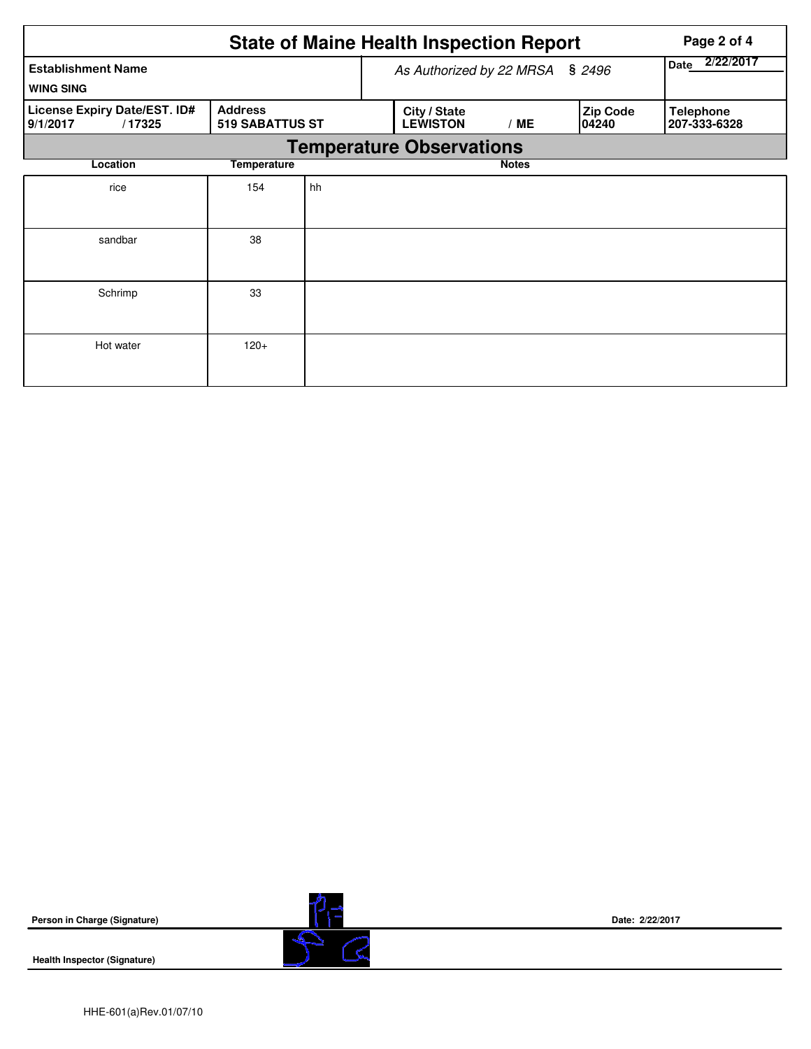|                                                    | Page 2 of 4                       |                                 |  |                                 |                   |                          |  |                                  |  |
|----------------------------------------------------|-----------------------------------|---------------------------------|--|---------------------------------|-------------------|--------------------------|--|----------------------------------|--|
| <b>Establishment Name</b><br><b>WING SING</b>      |                                   |                                 |  | As Authorized by 22 MRSA        | 2/22/2017<br>Date |                          |  |                                  |  |
| License Expiry Date/EST. ID#<br>9/1/2017<br>/17325 | <b>Address</b><br>519 SABATTUS ST |                                 |  | City / State<br><b>LEWISTON</b> | /ME               | <b>Zip Code</b><br>04240 |  | <b>Telephone</b><br>207-333-6328 |  |
|                                                    |                                   | <b>Temperature Observations</b> |  |                                 |                   |                          |  |                                  |  |
| Location                                           | Temperature                       |                                 |  |                                 |                   |                          |  |                                  |  |
| rice                                               | 154                               | hh                              |  |                                 |                   |                          |  |                                  |  |
| sandbar                                            | 38                                |                                 |  |                                 |                   |                          |  |                                  |  |
| Schrimp                                            | 33                                |                                 |  |                                 |                   |                          |  |                                  |  |
| Hot water                                          | $120+$                            |                                 |  |                                 |                   |                          |  |                                  |  |



**Date: 2/22/2017**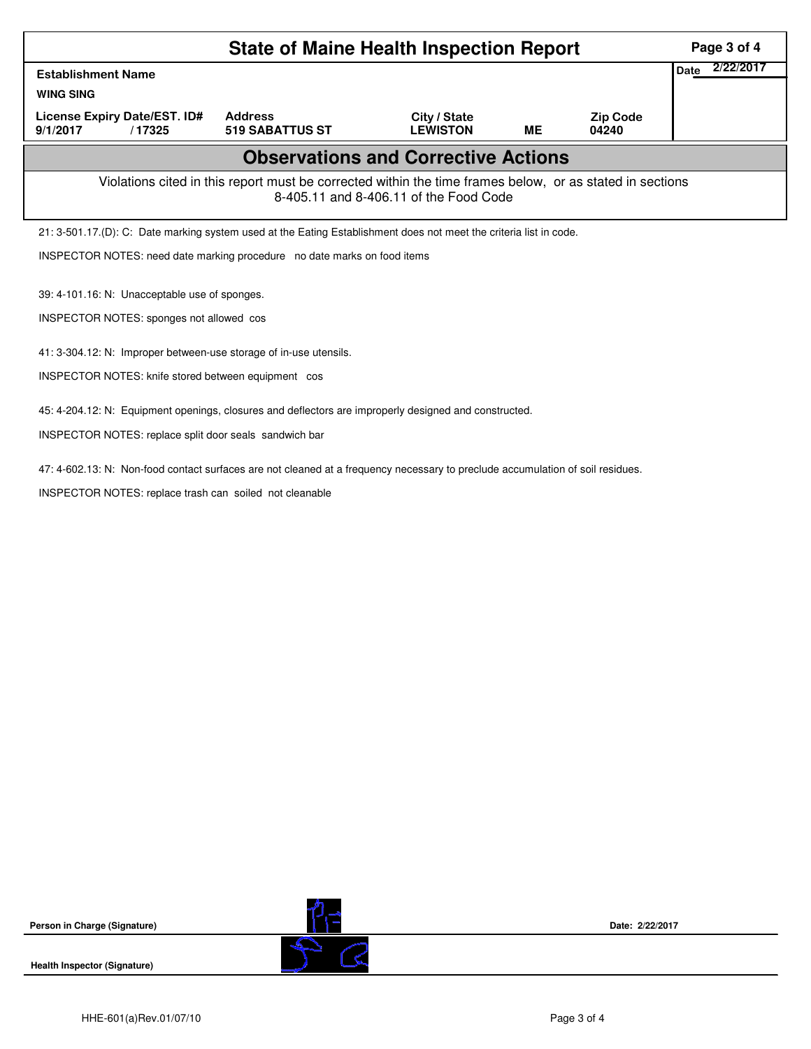| <b>State of Maine Health Inspection Report</b>                                                                                                                             | Page 3 of 4       |  |  |  |  |  |  |  |  |  |
|----------------------------------------------------------------------------------------------------------------------------------------------------------------------------|-------------------|--|--|--|--|--|--|--|--|--|
| <b>Establishment Name</b>                                                                                                                                                  | 2/22/2017<br>Date |  |  |  |  |  |  |  |  |  |
| <b>WING SING</b>                                                                                                                                                           |                   |  |  |  |  |  |  |  |  |  |
| License Expiry Date/EST. ID#<br><b>Address</b><br>City / State<br><b>Zip Code</b><br><b>LEWISTON</b><br><b>519 SABATTUS ST</b><br><b>ME</b><br>9/1/2017<br>/17325<br>04240 |                   |  |  |  |  |  |  |  |  |  |
| <b>Observations and Corrective Actions</b>                                                                                                                                 |                   |  |  |  |  |  |  |  |  |  |
| Violations cited in this report must be corrected within the time frames below, or as stated in sections<br>8-405.11 and 8-406.11 of the Food Code                         |                   |  |  |  |  |  |  |  |  |  |
| 21: 3-501.17.(D): C: Date marking system used at the Eating Establishment does not meet the criteria list in code.                                                         |                   |  |  |  |  |  |  |  |  |  |
| INSPECTOR NOTES: need date marking procedure no date marks on food items                                                                                                   |                   |  |  |  |  |  |  |  |  |  |
| 39: 4-101.16: N: Unacceptable use of sponges.                                                                                                                              |                   |  |  |  |  |  |  |  |  |  |
| INSPECTOR NOTES: sponges not allowed cos                                                                                                                                   |                   |  |  |  |  |  |  |  |  |  |
| 41: 3-304.12: N: Improper between-use storage of in-use utensils.                                                                                                          |                   |  |  |  |  |  |  |  |  |  |
| INSPECTOR NOTES: knife stored between equipment cos                                                                                                                        |                   |  |  |  |  |  |  |  |  |  |
| 45: 4-204.12: N: Equipment openings, closures and deflectors are improperly designed and constructed.                                                                      |                   |  |  |  |  |  |  |  |  |  |
| INSPECTOR NOTES: replace split door seals sandwich bar                                                                                                                     |                   |  |  |  |  |  |  |  |  |  |
| 47: 4-602.13: N: Non-food contact surfaces are not cleaned at a frequency necessary to preclude accumulation of soil residues.                                             |                   |  |  |  |  |  |  |  |  |  |
| INSPECTOR NOTES: replace trash can soiled not cleanable                                                                                                                    |                   |  |  |  |  |  |  |  |  |  |

**Health Inspector (Signature)** 



**Date: 2/22/2017**